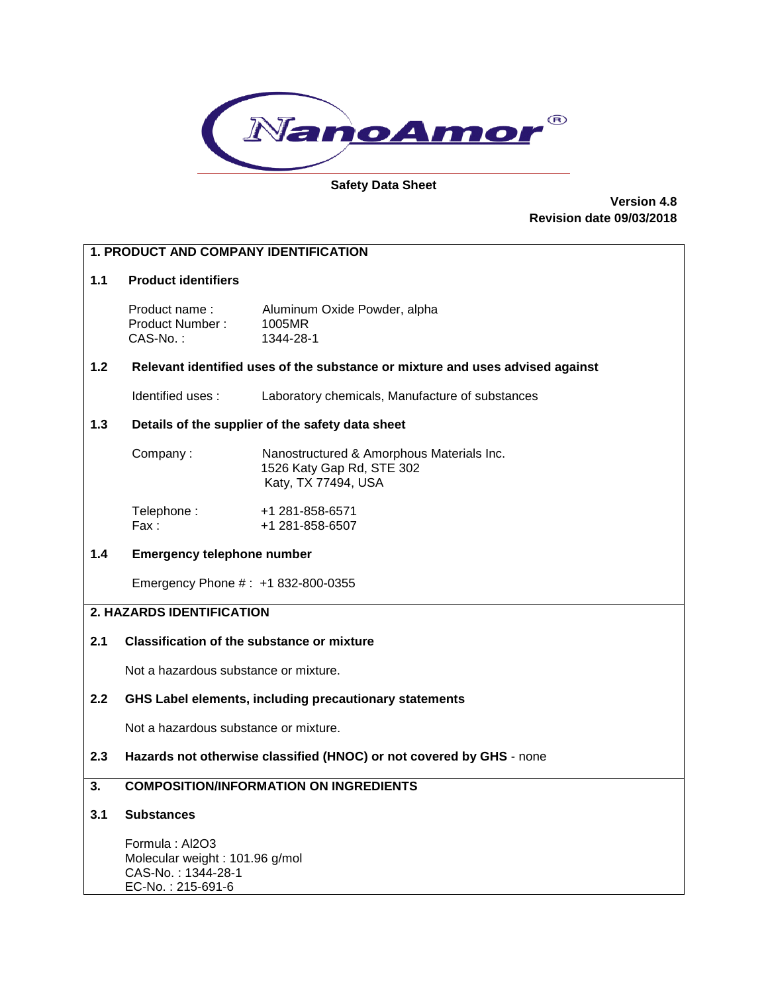

### **Safety Data Sheet**

**Version 4.8 Revision date 09/03/2018**

### **1. PRODUCT AND COMPANY IDENTIFICATION**

### **1.1 Product identifiers**

Product name : Aluminum Oxide Powder, alpha Product Number : 1005MR<br>CAS-No. : 1344-28-1  $CAS-No.$ :

### **1.2 Relevant identified uses of the substance or mixture and uses advised against**

Identified uses : Laboratory chemicals, Manufacture of substances

### **1.3 Details of the supplier of the safety data sheet**

| Company: | Nanostructured & Amorphous Materials Inc. |
|----------|-------------------------------------------|
|          | 1526 Katy Gap Rd, STE 302                 |
|          | Katy, TX 77494, USA                       |

| Telephone: | +1 281-858-6571 |
|------------|-----------------|
| Fax :      | +1 281-858-6507 |

### **1.4 Emergency telephone number**

Emergency Phone # : +1 832-800-0355

### **2. HAZARDS IDENTIFICATION**

## **2.1 Classification of the substance or mixture**

Not a hazardous substance or mixture.

## **2.2 GHS Label elements, including precautionary statements**

Not a hazardous substance or mixture.

### **2.3 Hazards not otherwise classified (HNOC) or not covered by GHS** - none

## **3. COMPOSITION/INFORMATION ON INGREDIENTS**

### **3.1 Substances**

 Formula : Al2O3 Molecular weight : 101.96 g/mol CAS-No. : 1344-28-1 EC-No. : 215-691-6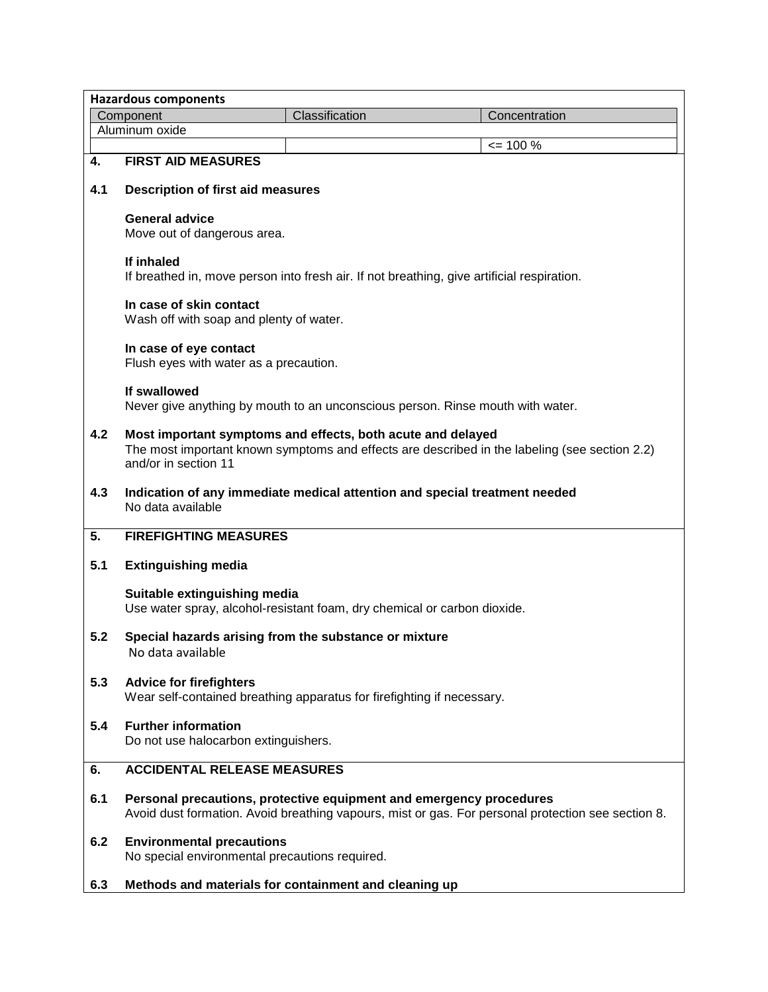|     | <b>Hazardous components</b>                                                                              |                |                                                                                                    |
|-----|----------------------------------------------------------------------------------------------------------|----------------|----------------------------------------------------------------------------------------------------|
|     | Component                                                                                                | Classification | Concentration                                                                                      |
|     | Aluminum oxide                                                                                           |                |                                                                                                    |
|     |                                                                                                          |                | $\leq$ 100 %                                                                                       |
| 4.  | <b>FIRST AID MEASURES</b>                                                                                |                |                                                                                                    |
| 4.1 | <b>Description of first aid measures</b>                                                                 |                |                                                                                                    |
|     | <b>General advice</b><br>Move out of dangerous area.                                                     |                |                                                                                                    |
|     | If inhaled<br>If breathed in, move person into fresh air. If not breathing, give artificial respiration. |                |                                                                                                    |
|     | In case of skin contact<br>Wash off with soap and plenty of water.                                       |                |                                                                                                    |
|     | In case of eye contact<br>Flush eyes with water as a precaution.                                         |                |                                                                                                    |
|     | If swallowed<br>Never give anything by mouth to an unconscious person. Rinse mouth with water.           |                |                                                                                                    |
| 4.2 | Most important symptoms and effects, both acute and delayed<br>and/or in section 11                      |                | The most important known symptoms and effects are described in the labeling (see section 2.2)      |
| 4.3 | Indication of any immediate medical attention and special treatment needed<br>No data available          |                |                                                                                                    |
| 5.  | <b>FIREFIGHTING MEASURES</b>                                                                             |                |                                                                                                    |
| 5.1 | <b>Extinguishing media</b>                                                                               |                |                                                                                                    |
|     | Suitable extinguishing media<br>Use water spray, alcohol-resistant foam, dry chemical or carbon dioxide. |                |                                                                                                    |
| 5.2 | Special hazards arising from the substance or mixture<br>No data available                               |                |                                                                                                    |
| 5.3 | <b>Advice for firefighters</b><br>Wear self-contained breathing apparatus for firefighting if necessary. |                |                                                                                                    |
| 5.4 | <b>Further information</b><br>Do not use halocarbon extinguishers.                                       |                |                                                                                                    |
| 6.  | <b>ACCIDENTAL RELEASE MEASURES</b>                                                                       |                |                                                                                                    |
| 6.1 | Personal precautions, protective equipment and emergency procedures                                      |                | Avoid dust formation. Avoid breathing vapours, mist or gas. For personal protection see section 8. |
| 6.2 | <b>Environmental precautions</b><br>No special environmental precautions required.                       |                |                                                                                                    |
| 6.3 | Methods and materials for containment and cleaning up                                                    |                |                                                                                                    |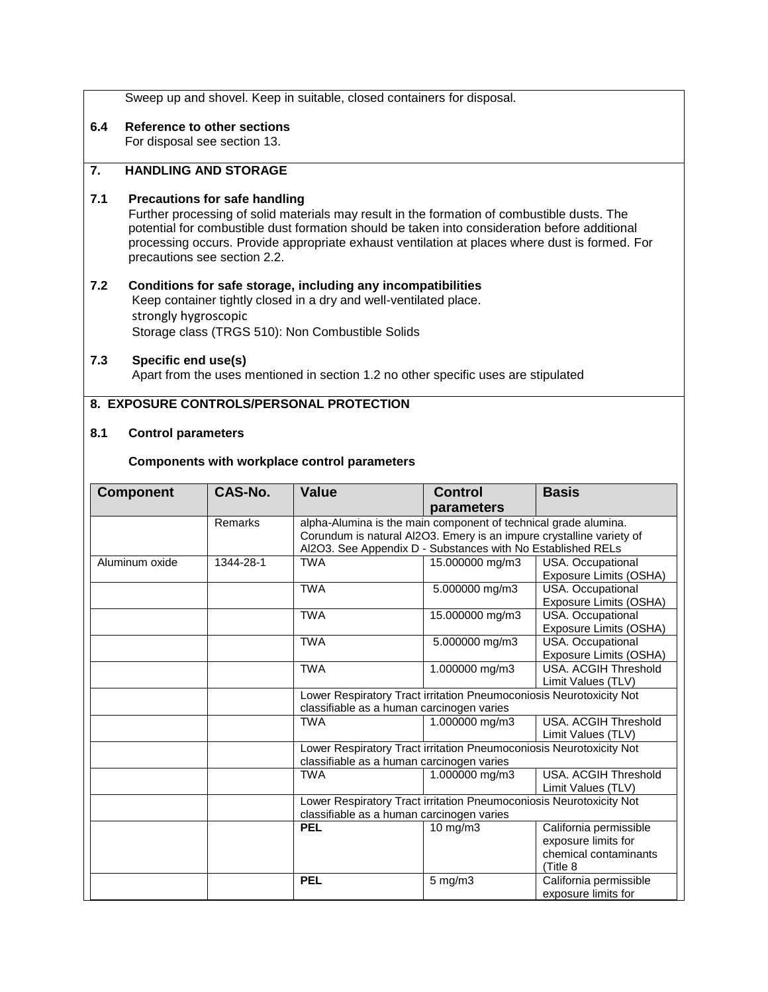| Sweep up and shovel. Keep in suitable, closed containers for disposal. |  |
|------------------------------------------------------------------------|--|
|------------------------------------------------------------------------|--|

**6.4 Reference to other sections**

For disposal see section 13.

## **7. HANDLING AND STORAGE**

## **7.1 Precautions for safe handling**

 Further processing of solid materials may result in the formation of combustible dusts. The potential for combustible dust formation should be taken into consideration before additional processing occurs. Provide appropriate exhaust ventilation at places where dust is formed. For precautions see section 2.2.

## **7.2 Conditions for safe storage, including any incompatibilities**

 Keep container tightly closed in a dry and well-ventilated place. strongly hygroscopic Storage class (TRGS 510): Non Combustible Solids

## **7.3 Specific end use(s)**

Apart from the uses mentioned in section 1.2 no other specific uses are stipulated

## **8. EXPOSURE CONTROLS/PERSONAL PROTECTION**

## **8.1 Control parameters**

### **Components with workplace control parameters**

| <b>Component</b> | CAS-No.   | Value                                                                | <b>Control</b>  | <b>Basis</b>                                |
|------------------|-----------|----------------------------------------------------------------------|-----------------|---------------------------------------------|
|                  |           |                                                                      | parameters      |                                             |
|                  | Remarks   | alpha-Alumina is the main component of technical grade alumina.      |                 |                                             |
|                  |           | Corundum is natural Al2O3. Emery is an impure crystalline variety of |                 |                                             |
|                  |           | Al2O3. See Appendix D - Substances with No Established RELs          |                 |                                             |
| Aluminum oxide   | 1344-28-1 | <b>TWA</b>                                                           | 15.000000 mg/m3 | USA. Occupational<br>Exposure Limits (OSHA) |
|                  |           | <b>TWA</b>                                                           | 5.000000 mg/m3  | USA. Occupational                           |
|                  |           |                                                                      |                 | Exposure Limits (OSHA)                      |
|                  |           | <b>TWA</b>                                                           | 15.000000 mg/m3 | USA. Occupational                           |
|                  |           |                                                                      |                 | Exposure Limits (OSHA)                      |
|                  |           | <b>TWA</b>                                                           | 5.000000 mg/m3  | USA. Occupational                           |
|                  |           |                                                                      |                 | Exposure Limits (OSHA)                      |
|                  |           | <b>TWA</b>                                                           | 1.000000 mg/m3  | USA. ACGIH Threshold                        |
|                  |           |                                                                      |                 | Limit Values (TLV)                          |
|                  |           | Lower Respiratory Tract irritation Pneumoconiosis Neurotoxicity Not  |                 |                                             |
|                  |           | classifiable as a human carcinogen varies                            |                 |                                             |
|                  |           | <b>TWA</b>                                                           | 1.000000 mg/m3  | USA, ACGIH Threshold                        |
|                  |           |                                                                      |                 | Limit Values (TLV)                          |
|                  |           | Lower Respiratory Tract irritation Pneumoconiosis Neurotoxicity Not  |                 |                                             |
|                  |           | classifiable as a human carcinogen varies                            |                 |                                             |
|                  |           | TWA                                                                  | 1.000000 mg/m3  | USA. ACGIH Threshold                        |
|                  |           |                                                                      |                 | Limit Values (TLV)                          |
|                  |           | Lower Respiratory Tract irritation Pneumoconiosis Neurotoxicity Not  |                 |                                             |
|                  |           | classifiable as a human carcinogen varies                            |                 |                                             |
|                  |           | <b>PEL</b>                                                           | 10 mg/m3        | California permissible                      |
|                  |           |                                                                      |                 | exposure limits for                         |
|                  |           |                                                                      |                 | chemical contaminants                       |
|                  |           |                                                                      |                 | (Title 8                                    |
|                  |           | <b>PEL</b>                                                           | $5$ mg/m $3$    | California permissible                      |
|                  |           |                                                                      |                 | exposure limits for                         |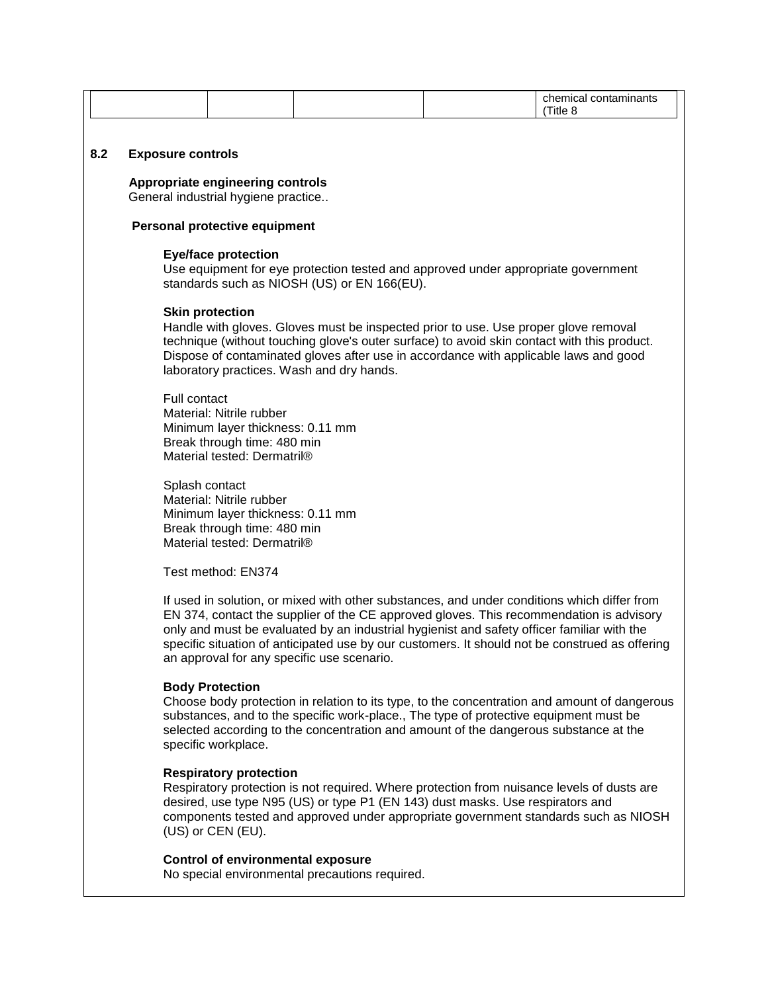|     |                                                                                                                                                                                                                                                                                                                                                   |                                                    |                                                                                                                                                                                                                                                                                                                                    |  | chemical contaminants<br>(Title 8                                                              |
|-----|---------------------------------------------------------------------------------------------------------------------------------------------------------------------------------------------------------------------------------------------------------------------------------------------------------------------------------------------------|----------------------------------------------------|------------------------------------------------------------------------------------------------------------------------------------------------------------------------------------------------------------------------------------------------------------------------------------------------------------------------------------|--|------------------------------------------------------------------------------------------------|
|     |                                                                                                                                                                                                                                                                                                                                                   |                                                    |                                                                                                                                                                                                                                                                                                                                    |  |                                                                                                |
| 8.2 | <b>Exposure controls</b>                                                                                                                                                                                                                                                                                                                          |                                                    |                                                                                                                                                                                                                                                                                                                                    |  |                                                                                                |
|     | <b>Appropriate engineering controls</b><br>General industrial hygiene practice                                                                                                                                                                                                                                                                    |                                                    |                                                                                                                                                                                                                                                                                                                                    |  |                                                                                                |
|     | Personal protective equipment                                                                                                                                                                                                                                                                                                                     |                                                    |                                                                                                                                                                                                                                                                                                                                    |  |                                                                                                |
|     | <b>Eye/face protection</b><br>Use equipment for eye protection tested and approved under appropriate government<br>standards such as NIOSH (US) or EN 166(EU).                                                                                                                                                                                    |                                                    |                                                                                                                                                                                                                                                                                                                                    |  |                                                                                                |
|     | <b>Skin protection</b><br>Handle with gloves. Gloves must be inspected prior to use. Use proper glove removal<br>technique (without touching glove's outer surface) to avoid skin contact with this product.<br>Dispose of contaminated gloves after use in accordance with applicable laws and good<br>laboratory practices. Wash and dry hands. |                                                    |                                                                                                                                                                                                                                                                                                                                    |  |                                                                                                |
|     | Full contact<br>Material: Nitrile rubber<br>Minimum layer thickness: 0.11 mm<br>Break through time: 480 min<br>Material tested: Dermatril®                                                                                                                                                                                                        |                                                    |                                                                                                                                                                                                                                                                                                                                    |  |                                                                                                |
|     | Splash contact<br>Material: Nitrile rubber<br>Minimum layer thickness: 0.11 mm<br>Break through time: 480 min<br>Material tested: Dermatril®                                                                                                                                                                                                      |                                                    |                                                                                                                                                                                                                                                                                                                                    |  |                                                                                                |
|     | Test method: EN374                                                                                                                                                                                                                                                                                                                                |                                                    |                                                                                                                                                                                                                                                                                                                                    |  |                                                                                                |
|     |                                                                                                                                                                                                                                                                                                                                                   |                                                    | If used in solution, or mixed with other substances, and under conditions which differ from<br>EN 374, contact the supplier of the CE approved gloves. This recommendation is advisory<br>only and must be evaluated by an industrial hygienist and safety officer familiar with the<br>an approval for any specific use scenario. |  | specific situation of anticipated use by our customers. It should not be construed as offering |
|     |                                                                                                                                                                                                                                                                                                                                                   | <b>Body Protection</b><br>specific workplace.      | substances, and to the specific work-place., The type of protective equipment must be<br>selected according to the concentration and amount of the dangerous substance at the                                                                                                                                                      |  | Choose body protection in relation to its type, to the concentration and amount of dangerous   |
|     |                                                                                                                                                                                                                                                                                                                                                   | <b>Respiratory protection</b><br>(US) or CEN (EU). | Respiratory protection is not required. Where protection from nuisance levels of dusts are<br>desired, use type N95 (US) or type P1 (EN 143) dust masks. Use respirators and                                                                                                                                                       |  | components tested and approved under appropriate government standards such as NIOSH            |
|     |                                                                                                                                                                                                                                                                                                                                                   | <b>Control of environmental exposure</b>           | No special environmental precautions required.                                                                                                                                                                                                                                                                                     |  |                                                                                                |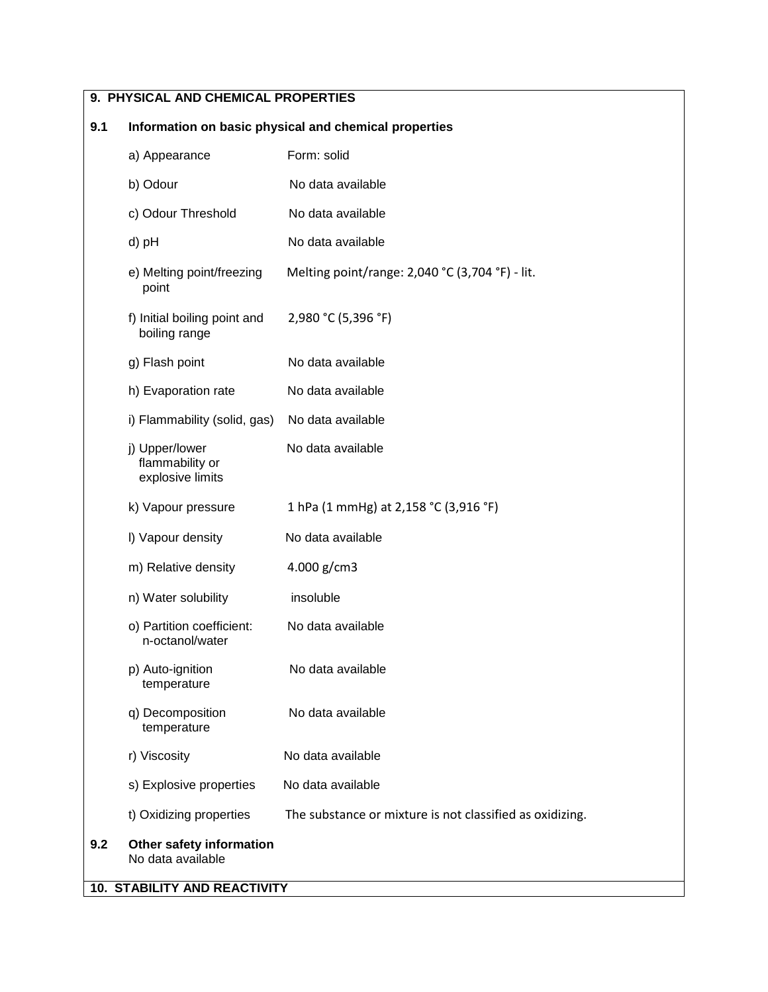# **9. PHYSICAL AND CHEMICAL PROPERTIES**

# **9.1 Information on basic physical and chemical properties**

|     | a) Appearance                                         | Form: solid                                              |
|-----|-------------------------------------------------------|----------------------------------------------------------|
|     | b) Odour                                              | No data available                                        |
|     | c) Odour Threshold                                    | No data available                                        |
|     | d) pH                                                 | No data available                                        |
|     | e) Melting point/freezing<br>point                    | Melting point/range: 2,040 °C (3,704 °F) - lit.          |
|     | f) Initial boiling point and<br>boiling range         | 2,980 °C (5,396 °F)                                      |
|     | g) Flash point                                        | No data available                                        |
|     | h) Evaporation rate                                   | No data available                                        |
|     | i) Flammability (solid, gas)                          | No data available                                        |
|     | j) Upper/lower<br>flammability or<br>explosive limits | No data available                                        |
|     | k) Vapour pressure                                    | 1 hPa (1 mmHg) at 2,158 °C (3,916 °F)                    |
|     | I) Vapour density                                     | No data available                                        |
|     | m) Relative density                                   | 4.000 g/cm3                                              |
|     | n) Water solubility                                   | insoluble                                                |
|     | o) Partition coefficient:<br>n-octanol/water          | No data available                                        |
|     | p) Auto-ignition<br>temperature                       | No data available                                        |
|     | q) Decomposition<br>temperature                       | No data available                                        |
|     | r) Viscosity                                          | No data available                                        |
|     | s) Explosive properties                               | No data available                                        |
|     | t) Oxidizing properties                               | The substance or mixture is not classified as oxidizing. |
| 9.2 | Other safety information<br>No data available         |                                                          |
|     | 10. STABILITY AND REACTIVITY                          |                                                          |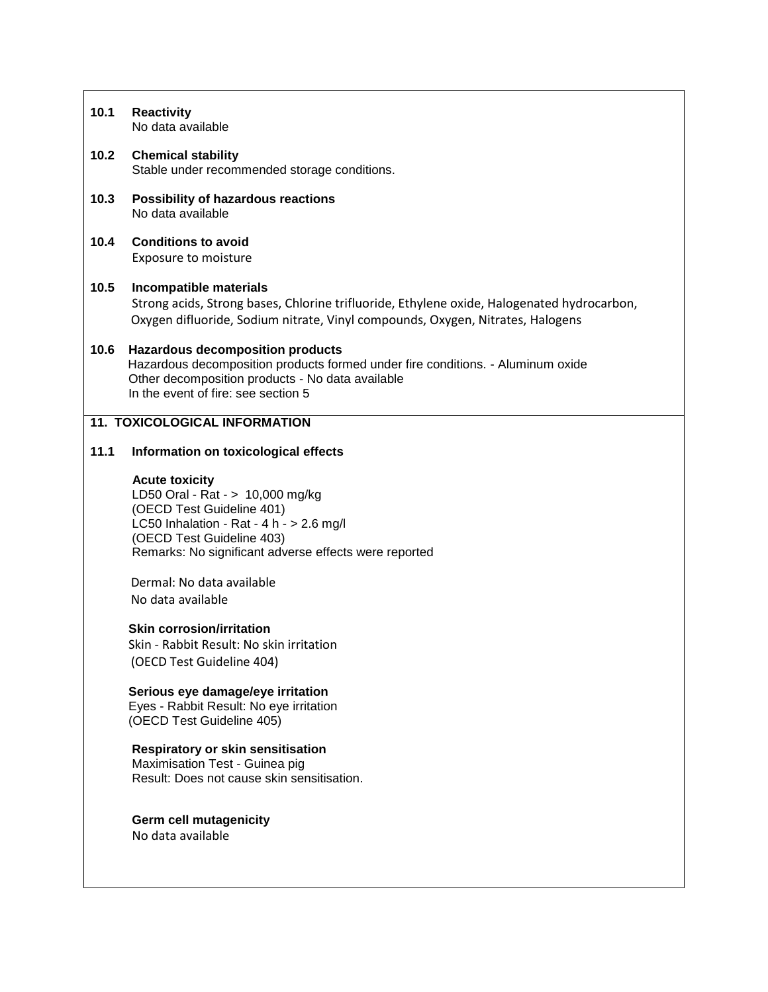| 10.1 | <b>Reactivity</b><br>No data available                                                                                                                                                                                     |
|------|----------------------------------------------------------------------------------------------------------------------------------------------------------------------------------------------------------------------------|
| 10.2 | <b>Chemical stability</b><br>Stable under recommended storage conditions.                                                                                                                                                  |
| 10.3 | Possibility of hazardous reactions<br>No data available                                                                                                                                                                    |
| 10.4 | <b>Conditions to avoid</b><br>Exposure to moisture                                                                                                                                                                         |
| 10.5 | Incompatible materials<br>Strong acids, Strong bases, Chlorine trifluoride, Ethylene oxide, Halogenated hydrocarbon,<br>Oxygen difluoride, Sodium nitrate, Vinyl compounds, Oxygen, Nitrates, Halogens                     |
| 10.6 | <b>Hazardous decomposition products</b><br>Hazardous decomposition products formed under fire conditions. - Aluminum oxide<br>Other decomposition products - No data available<br>In the event of fire: see section 5      |
|      | <b>11. TOXICOLOGICAL INFORMATION</b>                                                                                                                                                                                       |
| 11.1 | Information on toxicological effects                                                                                                                                                                                       |
|      | <b>Acute toxicity</b><br>LD50 Oral - Rat - > 10,000 mg/kg<br>(OECD Test Guideline 401)<br>LC50 Inhalation - Rat - 4 h - $> 2.6$ mg/l<br>(OECD Test Guideline 403)<br>Remarks: No significant adverse effects were reported |
|      | Dermal: No data available<br>No data available                                                                                                                                                                             |
|      | <b>Skin corrosion/irritation</b><br>Skin - Rabbit Result: No skin irritation<br>(OECD Test Guideline 404)                                                                                                                  |
|      | Serious eye damage/eye irritation<br>Eyes - Rabbit Result: No eye irritation<br>(OECD Test Guideline 405)                                                                                                                  |
|      | <b>Respiratory or skin sensitisation</b><br>Maximisation Test - Guinea pig<br>Result: Does not cause skin sensitisation.                                                                                                   |
|      | <b>Germ cell mutagenicity</b><br>No data available                                                                                                                                                                         |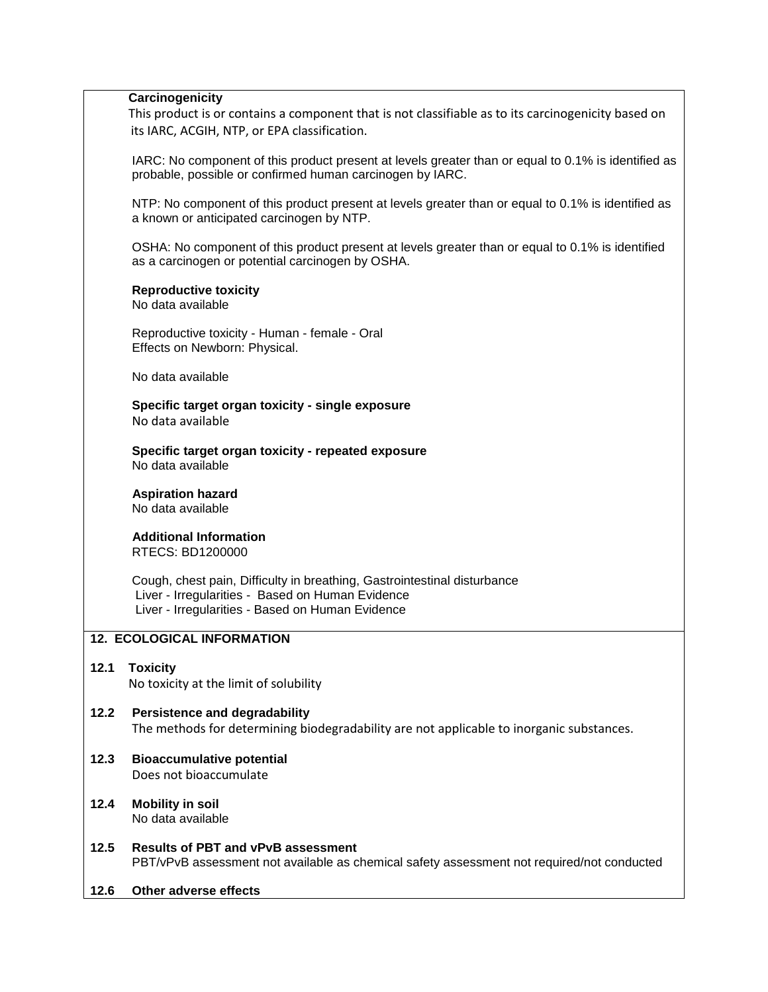#### **Carcinogenicity**

This product is or contains a component that is not classifiable as to its carcinogenicity based on its IARC, ACGIH, NTP, or EPA classification.

 IARC: No component of this product present at levels greater than or equal to 0.1% is identified as probable, possible or confirmed human carcinogen by IARC.

 NTP: No component of this product present at levels greater than or equal to 0.1% is identified as a known or anticipated carcinogen by NTP.

 OSHA: No component of this product present at levels greater than or equal to 0.1% is identified as a carcinogen or potential carcinogen by OSHA.

### **Reproductive toxicity**

No data available

 Reproductive toxicity - Human - female - Oral Effects on Newborn: Physical.

No data available

 **Specific target organ toxicity - single exposure** No data available

 **Specific target organ toxicity - repeated exposure** No data available

 **Aspiration hazard** No data available

 **Additional Information** RTECS: BD1200000

 Cough, chest pain, Difficulty in breathing, Gastrointestinal disturbance Liver - Irregularities - Based on Human Evidence Liver - Irregularities - Based on Human Evidence

### **12. ECOLOGICAL INFORMATION**

### **12.1 Toxicity** No toxicity at the limit of solubility

### **12.2 Persistence and degradability** The methods for determining biodegradability are not applicable to inorganic substances.

### **12.3 Bioaccumulative potential** Does not bioaccumulate

- **12.4 Mobility in soil** No data available
- **12.5 Results of PBT and vPvB assessment** PBT/vPvB assessment not available as chemical safety assessment not required/not conducted
- **12.6 Other adverse effects**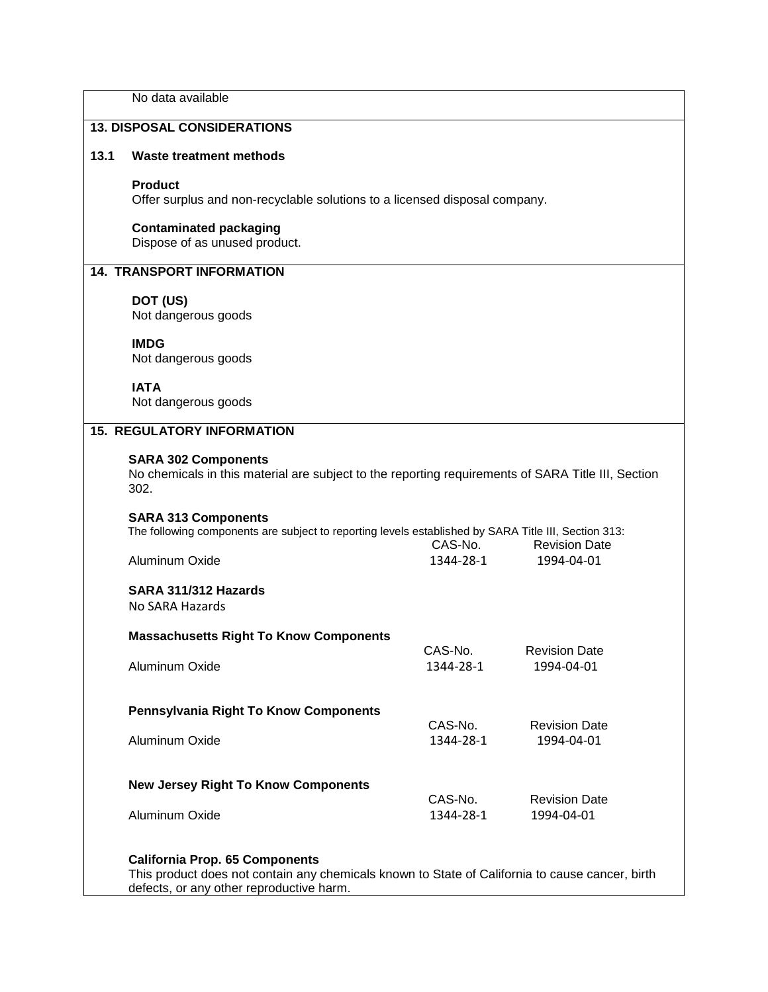No data available

## **13. DISPOSAL CONSIDERATIONS**

#### **13.1 Waste treatment methods**

#### **Product**

Offer surplus and non-recyclable solutions to a licensed disposal company.

# **Contaminated packaging**

Dispose of as unused product.

## **14. TRANSPORT INFORMATION**

## **DOT (US)**

Not dangerous goods

### **IMDG**

Not dangerous goods

# **IATA**

Not dangerous goods

## **15. REGULATORY INFORMATION**

#### **SARA 302 Components**

 No chemicals in this material are subject to the reporting requirements of SARA Title III, Section 302.

### **SARA 313 Components**

| The following components are subject to reporting levels established by SARA Title III, Section 313: |           |                      |
|------------------------------------------------------------------------------------------------------|-----------|----------------------|
|                                                                                                      | CAS-No.   | <b>Revision Date</b> |
| Aluminum Oxide                                                                                       | 1344-28-1 | 1994-04-01           |

## **SARA 311/312 Hazards**

No SARA Hazards

### **Massachusetts Right To Know Components**

| Aluminum Oxide                               | CAS-No.<br>1344-28-1 | <b>Revision Date</b><br>1994-04-01 |
|----------------------------------------------|----------------------|------------------------------------|
| <b>Pennsylvania Right To Know Components</b> |                      |                                    |
| Aluminum Oxide                               | CAS-No.<br>1344-28-1 | <b>Revision Date</b><br>1994-04-01 |
| <b>New Jersey Right To Know Components</b>   |                      |                                    |
|                                              | CAS-No.              | <b>Revision Date</b>               |
| Aluminum Oxide                               | 1344-28-1            | 1994-04-01                         |

### **California Prop. 65 Components**

This product does not contain any chemicals known to State of California to cause cancer, birth defects, or any other reproductive harm.